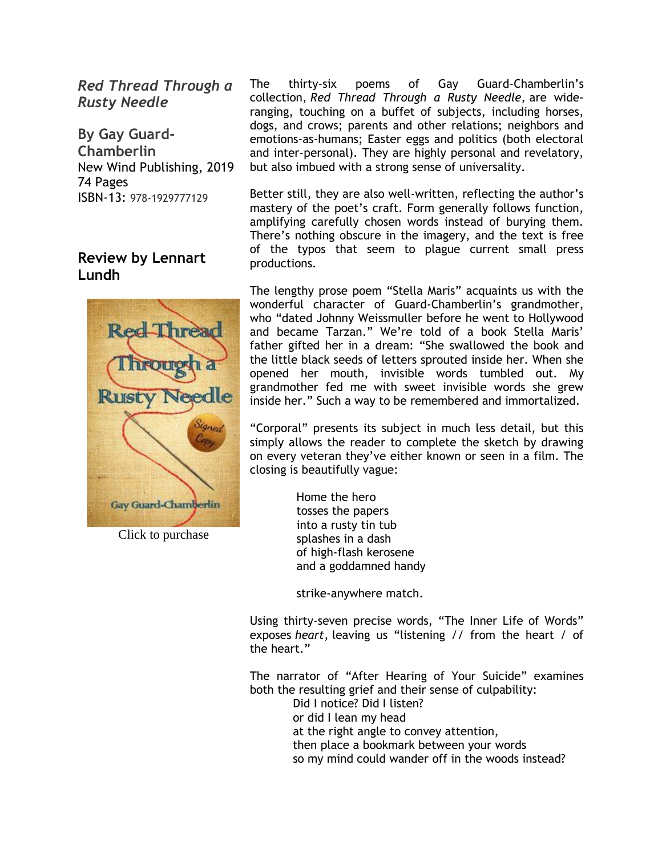*Red Thread Through a Rusty Needle*

**By Gay Guard-Chamberlin** New Wind Publishing, 2019 74 Pages ISBN-13: 978-1929777129

### **Review by Lennart Lundh**



Click to purchase

The thirty-six poems of Gay Guard-Chamberlin's collection, *Red Thread Through a Rusty Needle,* are wideranging, touching on a buffet of subjects, including horses, dogs, and crows; parents and other relations; neighbors and emotions-as-humans; Easter eggs and politics (both electoral and inter-personal). They are highly personal and revelatory, but also imbued with a strong sense of universality.

Better still, they are also well-written, reflecting the author's mastery of the poet's craft. Form generally follows function, amplifying carefully chosen words instead of burying them. There's nothing obscure in the imagery, and the text is free of the typos that seem to plague current small press productions.

The lengthy prose poem "Stella Maris" acquaints us with the wonderful character of Guard-Chamberlin's grandmother, who "dated Johnny Weissmuller before he went to Hollywood and became Tarzan." We're told of a book Stella Maris' father gifted her in a dream: "She swallowed the book and the little black seeds of letters sprouted inside her. When she opened her mouth, invisible words tumbled out. My grandmother fed me with sweet invisible words she grew inside her." Such a way to be remembered and immortalized.

"Corporal" presents its subject in much less detail, but this simply allows the reader to complete the sketch by drawing on every veteran they've either known or seen in a film. The closing is beautifully vague:

> Home the hero tosses the papers into a rusty tin tub splashes in a dash of high-flash kerosene and a goddamned handy

strike-anywhere match.

Using thirty-seven precise words, "The Inner Life of Words" exposes *heart,* leaving us "listening // from the heart / of the heart."

The narrator of "After Hearing of Your Suicide" examines both the resulting grief and their sense of culpability: Did I notice? Did I listen?

or did I lean my head

at the right angle to convey attention,

then place a bookmark between your words

so my mind could wander off in the woods instead?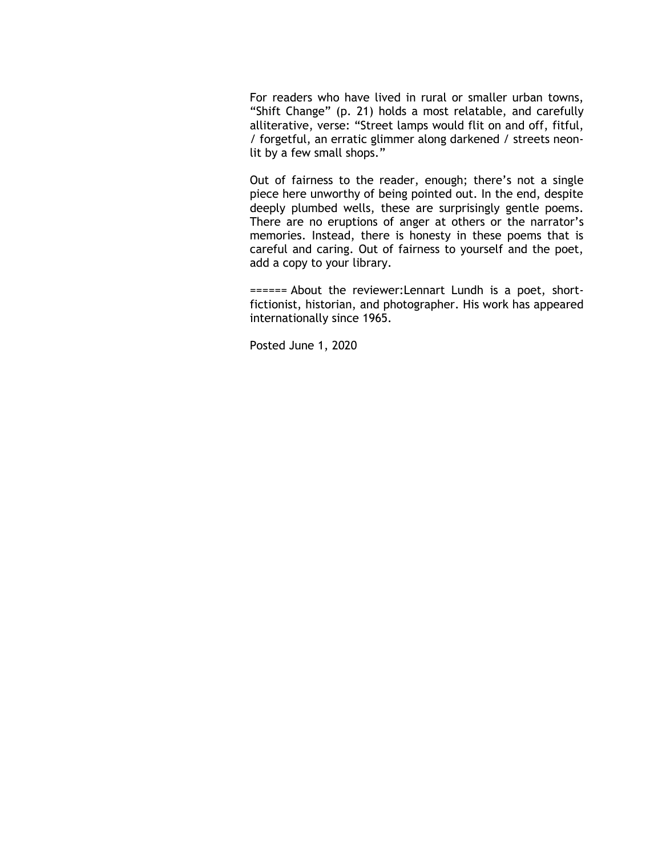For readers who have lived in rural or smaller urban towns, "Shift Change" (p. 21) holds a most relatable, and carefully alliterative, verse: "Street lamps would flit on and off, fitful, / forgetful, an erratic glimmer along darkened / streets neonlit by a few small shops."

Out of fairness to the reader, enough; there's not a single piece here unworthy of being pointed out. In the end, despite deeply plumbed wells, these are surprisingly gentle poems. There are no eruptions of anger at others or the narrator's memories. Instead, there is honesty in these poems that is careful and caring. Out of fairness to yourself and the poet, add a copy to your library.

====== About the reviewer:Lennart Lundh is a poet, shortfictionist, historian, and photographer. His work has appeared internationally since 1965.

Posted June 1, 2020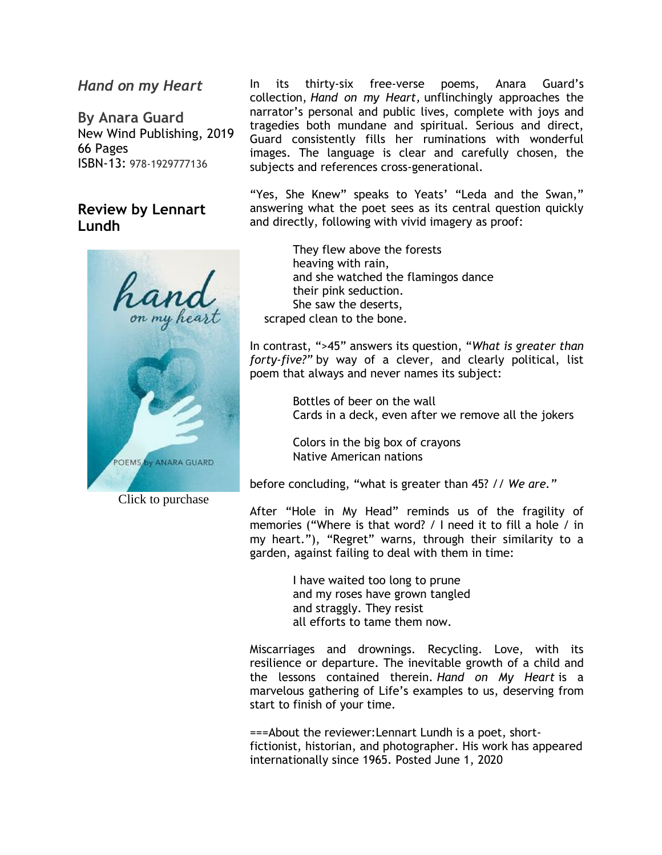### *Hand on my Heart*

**By Anara Guard** New Wind Publishing, 2019 66 Pages ISBN-13: 978-1929777136

## **Review by Lennart Lundh**



Click to purchase

In its thirty-six free-verse poems, Anara Guard's collection, *Hand on my Heart,* unflinchingly approaches the narrator's personal and public lives, complete with joys and tragedies both mundane and spiritual. Serious and direct, Guard consistently fills her ruminations with wonderful images. The language is clear and carefully chosen, the subjects and references cross-generational.

"Yes, She Knew" speaks to Yeats' "Leda and the Swan," answering what the poet sees as its central question quickly and directly, following with vivid imagery as proof:

 They flew above the forests heaving with rain, and she watched the flamingos dance their pink seduction. She saw the deserts, scraped clean to the bone.

In contrast, ">45" answers its question, "*What is greater than forty-five?"* by way of a clever, and clearly political, list poem that always and never names its subject:

> Bottles of beer on the wall Cards in a deck, even after we remove all the jokers

 Colors in the big box of crayons Native American nations

before concluding, "what is greater than 45? // *We are."*

After "Hole in My Head" reminds us of the fragility of memories ("Where is that word? / I need it to fill a hole / in my heart."), "Regret" warns, through their similarity to a garden, against failing to deal with them in time:

> I have waited too long to prune and my roses have grown tangled and straggly. They resist all efforts to tame them now.

Miscarriages and drownings. Recycling. Love, with its resilience or departure. The inevitable growth of a child and the lessons contained therein. *Hand on My Heart* is a marvelous gathering of Life's examples to us, deserving from start to finish of your time.

===About the reviewer:Lennart Lundh is a poet, shortfictionist, historian, and photographer. His work has appeared internationally since 1965. Posted June 1, 2020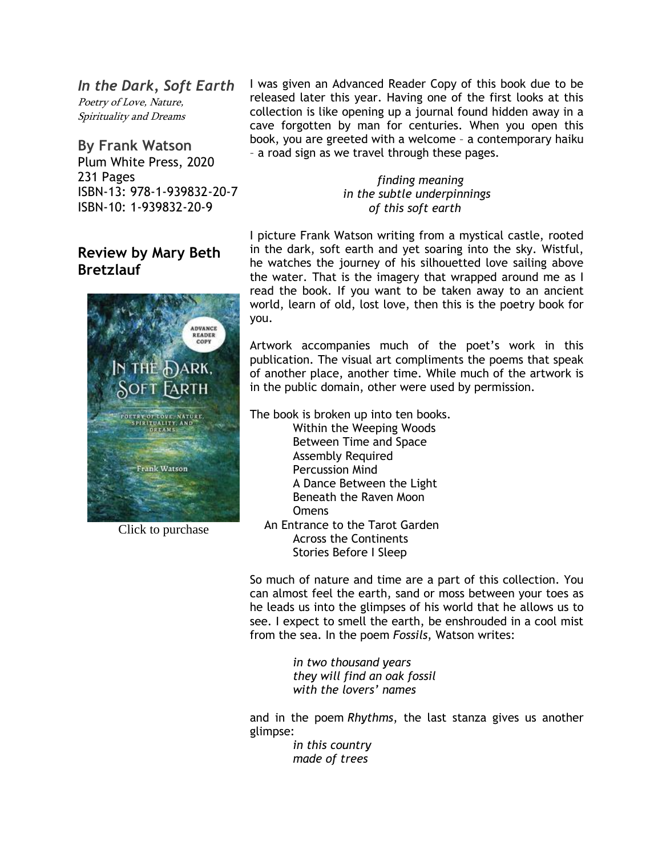*In the Dark, Soft Earth* Poetry of Love, Nature, Spirituality and Dreams

**By Frank Watson** Plum White Press, 2020 231 Pages ISBN-13: 978-1-939832-20-7 ISBN-10: 1-939832-20-9

# **Review by Mary Beth Bretzlauf**



Click to purchase

I was given an Advanced Reader Copy of this book due to be released later this year. Having one of the first looks at this collection is like opening up a journal found hidden away in a cave forgotten by man for centuries. When you open this book, you are greeted with a welcome – a contemporary haiku – a road sign as we travel through these pages.

> *finding meaning in the subtle underpinnings of this soft earth*

I picture Frank Watson writing from a mystical castle, rooted in the dark, soft earth and yet soaring into the sky. Wistful, he watches the journey of his silhouetted love sailing above the water. That is the imagery that wrapped around me as I read the book. If you want to be taken away to an ancient world, learn of old, lost love, then this is the poetry book for you.

Artwork accompanies much of the poet's work in this publication. The visual art compliments the poems that speak of another place, another time. While much of the artwork is in the public domain, other were used by permission.

The book is broken up into ten books.

 Within the Weeping Woods Between Time and Space Assembly Required Percussion Mind A Dance Between the Light Beneath the Raven Moon **Omens** 

 An Entrance to the Tarot Garden Across the Continents Stories Before I Sleep

So much of nature and time are a part of this collection. You can almost feel the earth, sand or moss between your toes as he leads us into the glimpses of his world that he allows us to see. I expect to smell the earth, be enshrouded in a cool mist from the sea. In the poem *Fossils*, Watson writes:

> *in two thousand years they will find an oak fossil with the lovers' names*

and in the poem *Rhythms*, the last stanza gives us another glimpse:

> *in this country made of trees*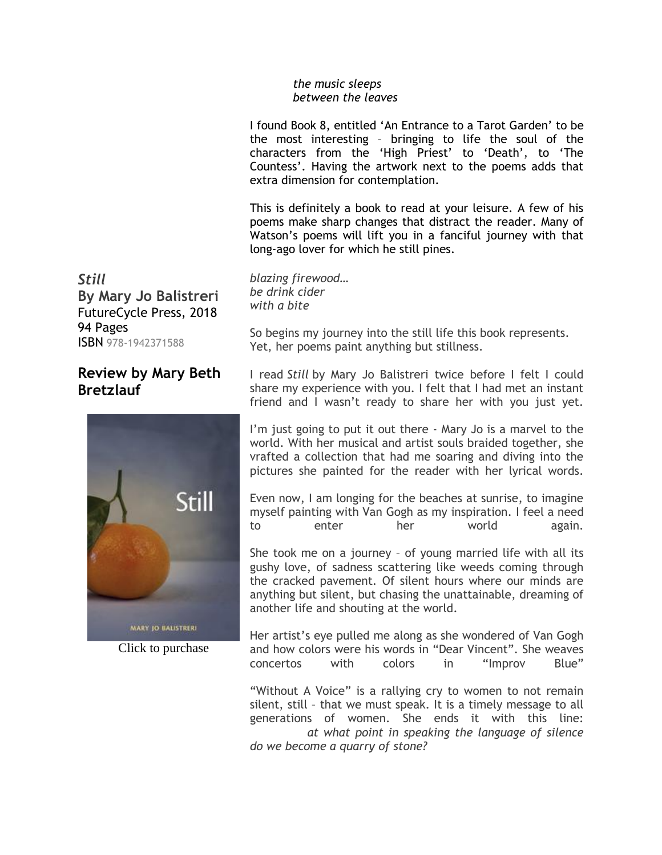#### *the music sleeps between the leaves*

I found Book 8, entitled 'An Entrance to a Tarot Garden' to be the most interesting – bringing to life the soul of the characters from the 'High Priest' to 'Death', to 'The Countess'. Having the artwork next to the poems adds that extra dimension for contemplation.

This is definitely a book to read at your leisure. A few of his poems make sharp changes that distract the reader. Many of Watson's poems will lift you in a fanciful journey with that long-ago lover for which he still pines.

*Still* **By Mary Jo Balistreri** FutureCycle Press, 2018 94 Pages ISBN 978-1942371588

# **Review by Mary Beth Bretzlauf**



Click to purchase

*blazing firewood… be drink cider with a bite*

So begins my journey into the still life this book represents. Yet, her poems paint anything but stillness.

I read *Still* by Mary Jo Balistreri twice before I felt I could share my experience with you. I felt that I had met an instant friend and I wasn't ready to share her with you just yet.

I'm just going to put it out there - Mary Jo is a marvel to the world. With her musical and artist souls braided together, she vrafted a collection that had me soaring and diving into the pictures she painted for the reader with her lyrical words.

Even now, I am longing for the beaches at sunrise, to imagine myself painting with Van Gogh as my inspiration. I feel a need to enter her world again.

She took me on a journey – of young married life with all its gushy love, of sadness scattering like weeds coming through the cracked pavement. Of silent hours where our minds are anything but silent, but chasing the unattainable, dreaming of another life and shouting at the world.

Her artist's eye pulled me along as she wondered of Van Gogh and how colors were his words in "Dear Vincent". She weaves concertos with colors in "Improv Blue"

"Without A Voice" is a rallying cry to women to not remain silent, still – that we must speak. It is a timely message to all generations of women. She ends it with this line: *at what point in speaking the language of silence do we become a quarry of stone?*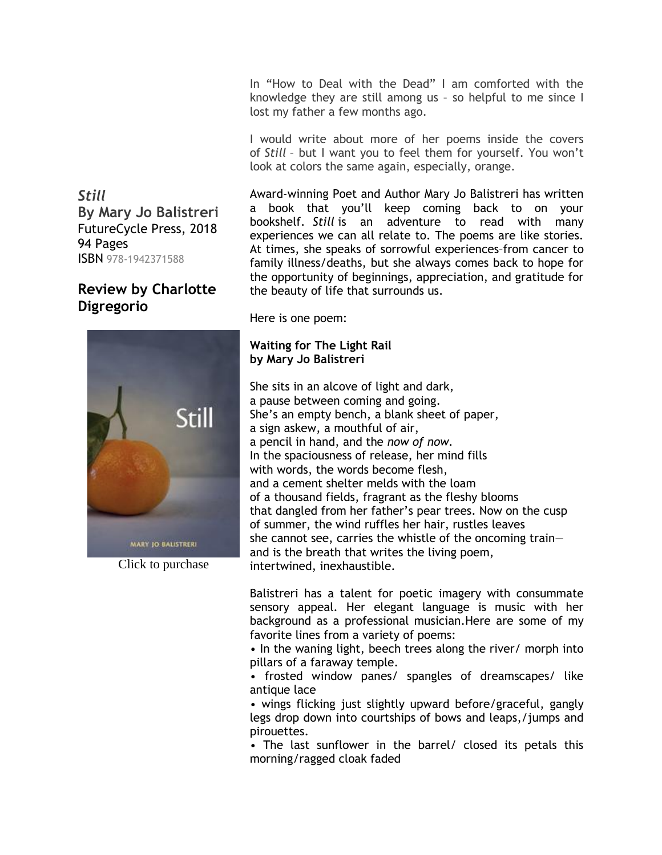In "How to Deal with the Dead" I am comforted with the knowledge they are still among us – so helpful to me since I lost my father a few months ago.

I would write about more of her poems inside the covers of *Still* – but I want you to feel them for yourself. You won't look at colors the same again, especially, orange.

Award-winning Poet and Author Mary Jo Balistreri has written a book that you'll keep coming back to on your bookshelf. *Still* is an adventure to read with many experiences we can all relate to. The poems are like stories. At times, she speaks of sorrowful experiences–from cancer to family illness/deaths, but she always comes back to hope for the opportunity of beginnings, appreciation, and gratitude for the beauty of life that surrounds us.

Here is one poem:

#### **Waiting for The Light Rail by Mary Jo Balistreri**

She sits in an alcove of light and dark, a pause between coming and going. She's an empty bench, a blank sheet of paper, a sign askew, a mouthful of air, a pencil in hand, and the *now of now.* In the spaciousness of release, her mind fills with words, the words become flesh, and a cement shelter melds with the loam of a thousand fields, fragrant as the fleshy blooms that dangled from her father's pear trees. Now on the cusp of summer, the wind ruffles her hair, rustles leaves she cannot see, carries the whistle of the oncoming train and is the breath that writes the living poem, intertwined, inexhaustible.

Balistreri has a talent for poetic imagery with consummate sensory appeal. Her elegant language is music with her background as a professional musician.Here are some of my favorite lines from a variety of poems:

• In the waning light, beech trees along the river/ morph into pillars of a faraway temple.

• frosted window panes/ spangles of dreamscapes/ like antique lace

• wings flicking just slightly upward before/graceful, gangly legs drop down into courtships of bows and leaps,/jumps and pirouettes.

• The last sunflower in the barrel/ closed its petals this morning/ragged cloak faded

*Still* **By Mary Jo Balistreri** FutureCycle Press, 2018 94 Pages ISBN 978-1942371588

# **Review by Charlotte Digregorio**



Click to purchase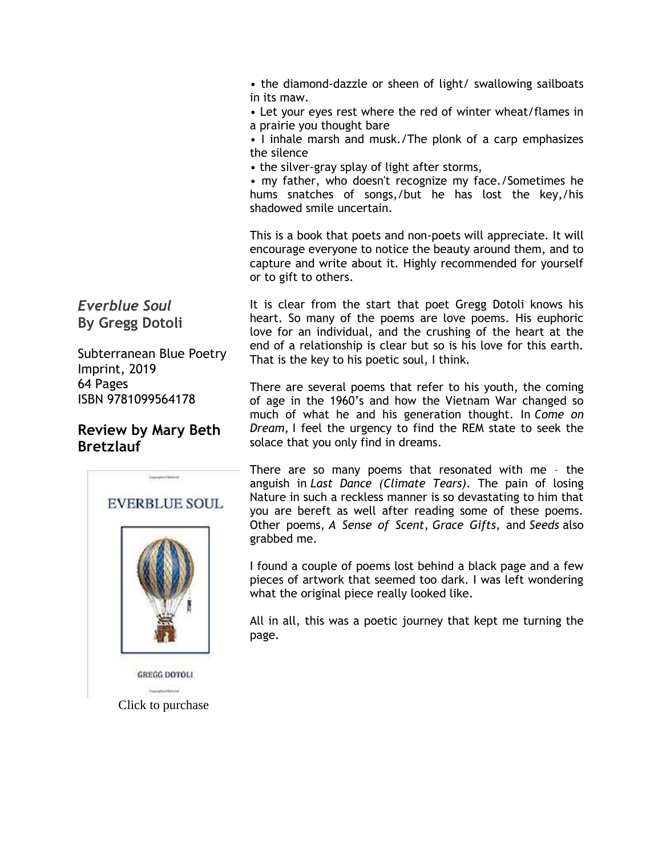• the diamond-dazzle or sheen of light/ swallowing sailboats in its maw.

• Let your eyes rest where the red of winter wheat/flames in a prairie you thought bare

• I inhale marsh and musk./The plonk of a carp emphasizes the silence

• the silver-gray splay of light after storms,

• my father, who doesn't recognize my face./Sometimes he hums snatches of songs,/but he has lost the key,/his shadowed smile uncertain.

This is a book that poets and non-poets will appreciate. It will encourage everyone to notice the beauty around them, and to capture and write about it. Highly recommended for yourself or to gift to others.

*Everblue Soul* **By Gregg Dotoli**

Subterranean Blue Poetry Imprint, 2019 64 Pages ISBN 9781099564178

## **Review by Mary Beth Bretzlauf**



It is clear from the start that poet Gregg Dotoli knows his heart. So many of the poems are love poems. His euphoric love for an individual, and the crushing of the heart at the end of a relationship is clear but so is his love for this earth. That is the key to his poetic soul, I think.

There are several poems that refer to his youth, the coming of age in the 1960's and how the Vietnam War changed so much of what he and his generation thought. In *Come on Dream,* I feel the urgency to find the REM state to seek the solace that you only find in dreams.

There are so many poems that resonated with me – the anguish in *Last Dance (Climate Tears)*. The pain of losing Nature in such a reckless manner is so devastating to him that you are bereft as well after reading some of these poems. Other poems, *A Sense of Scent*, *Grace Gifts*, and *Seeds* also grabbed me.

I found a couple of poems lost behind a black page and a few pieces of artwork that seemed too dark. I was left wondering what the original piece really looked like.

All in all, this was a poetic journey that kept me turning the page.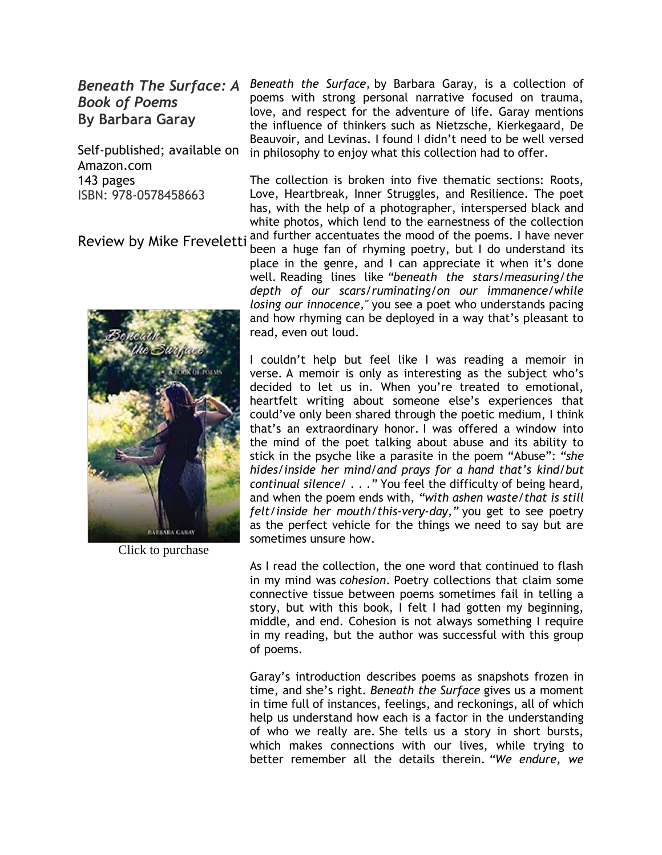*Book of Poems* **By Barbara Garay**

Self-published; available on Amazon.com 143 pages ISBN: 978-0578458663

Review by Mike Freveletti

**Beneath The Surface: A** Beneath the Surface, by Barbara Garay, is a collection of poems with strong personal narrative focused on trauma, love, and respect for the adventure of life. Garay mentions the influence of thinkers such as Nietzsche, Kierkegaard, De Beauvoir, and Levinas. I found I didn't need to be well versed in philosophy to enjoy what this collection had to offer.

> The collection is broken into five thematic sections: Roots, Love, Heartbreak, Inner Struggles, and Resilience. The poet has, with the help of a photographer, interspersed black and white photos, which lend to the earnestness of the collection and further accentuates the mood of the poems. I have never

*RAPRARA CARAY* 

Click to purchase

been a huge fan of rhyming poetry, but I do understand its place in the genre, and I can appreciate it when it's done well. Reading lines like *"beneath the stars/measuring/the depth of our scars/ruminating/on our immanence/while losing our innocence,"* you see a poet who understands pacing and how rhyming can be deployed in a way that's pleasant to read, even out loud.

I couldn't help but feel like I was reading a memoir in verse. A memoir is only as interesting as the subject who's decided to let us in. When you're treated to emotional, heartfelt writing about someone else's experiences that could've only been shared through the poetic medium, I think that's an extraordinary honor. I was offered a window into the mind of the poet talking about abuse and its ability to stick in the psyche like a parasite in the poem "Abuse": *"she hides/inside her mind/and prays for a hand that's kind/but continual silence/* . . .*"* You feel the difficulty of being heard, and when the poem ends with, *"with ashen waste/that is still felt/inside her mouth/this-very-day,"* you get to see poetry as the perfect vehicle for the things we need to say but are sometimes unsure how.

As I read the collection, the one word that continued to flash in my mind was *cohesion*. Poetry collections that claim some connective tissue between poems sometimes fail in telling a story, but with this book, I felt I had gotten my beginning, middle, and end. Cohesion is not always something I require in my reading, but the author was successful with this group of poems.

Garay's introduction describes poems as snapshots frozen in time, and she's right. *Beneath the Surface* gives us a moment in time full of instances, feelings, and reckonings, all of which help us understand how each is a factor in the understanding of who we really are. She tells us a story in short bursts, which makes connections with our lives, while trying to better remember all the details therein. *"We endure, we*